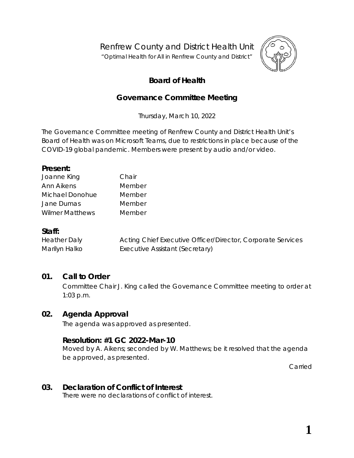Renfrew County and District Health Unit

"*Optimal Health for All in Renfrew County and District"*



# **Board of Health**

# **Governance Committee Meeting**

Thursday, March 10, 2022

The Governance Committee meeting of Renfrew County and District Health Unit's Board of Health was on *Microsoft Teams,* due to restrictions in place because of the COVID-19 global pandemic. Members were present by audio and/or video.

#### **Present:**

| Joanne King            | Chair  |
|------------------------|--------|
| Ann Aikens             | Member |
| Michael Donohue        | Member |
| Jane Dumas             | Member |
| <b>Wilmer Matthews</b> | Member |

#### **Staff:**

Heather Daly Acting Chief Executive Officer/Director, Corporate Services Marilyn Halko **Executive Assistant (Secretary)** 

# **01. Call to Order**

Committee Chair J. King called the Governance Committee meeting to order at 1:03 p.m.

# **02. Agenda Approval**

The agenda was approved as presented.

#### **Resolution: #1 GC 2022-Mar-10**

Moved by A. Aikens; seconded by W. Matthews; be it resolved that the agenda be approved, as presented.

Carried

# **03. Declaration of Conflict of Interest**

There were no declarations of conflict of interest.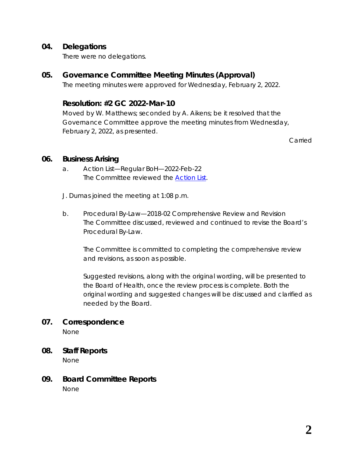#### **04. Delegations**

There were no delegations.

#### **05. Governance Committee Meeting Minutes (Approval)**

The meeting minutes were approved for Wednesday, February 2, 2022.

### **Resolution: #2 GC 2022-Mar-10**

Moved by W. Matthews; seconded by A. Aikens; be it resolved that the Governance Committee approve the meeting minutes from Wednesday, February 2, 2022, as presented.

Carried

#### **06. Business Arising**

a. Action List—Regular BoH—2022-Feb-22 The Committee reviewed the *[Action List](https://www.rcdhu.com/wp-content/uploads/2022/03/06.-a.-Action-List-Regular-BoH-2022-Feb-22.pdf)*.

J. Dumas joined the meeting at 1:08 p.m.

b. Procedural By-Law—2018-02 Comprehensive Review and Revision The Committee discussed, reviewed and continued to revise the Board's Procedural By-Law.

The Committee is committed to completing the comprehensive review and revisions, as soon as possible.

Suggested revisions, along with the original wording, will be presented to the Board of Health, once the review process is complete. Both the original wording and suggested changes will be discussed and clarified as needed by the Board.

# **07. Correspondence**

None

- **08. Staff Reports** None
- **09. Board Committee Reports** None